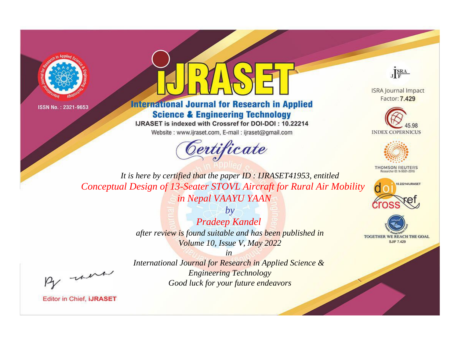



# **International Journal for Research in Applied Science & Engineering Technology**

IJRASET is indexed with Crossref for DOI-DOI: 10.22214

Website: www.ijraset.com, E-mail: ijraset@gmail.com



JERA

**ISRA Journal Impact** Factor: 7.429





**THOMSON REUTERS** 



TOGETHER WE REACH THE GOAL **SJIF 7.429** 

It is here by certified that the paper ID: IJRASET41953, entitled Conceptual Design of 13-Seater STOVL Aircraft for Rural Air Mobility in Nepal VAAYU YAAN

> $b\nu$ **Pradeep Kandel** after review is found suitable and has been published in Volume 10, Issue V, May 2022

> > $in$

were

International Journal for Research in Applied Science & **Engineering Technology** Good luck for your future endeavors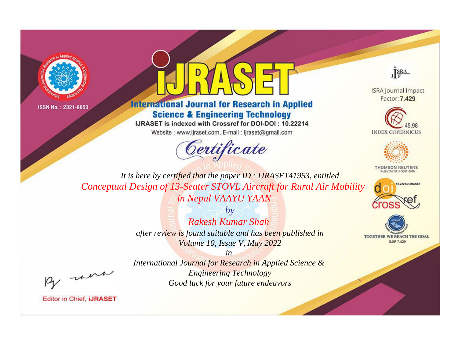



# **International Journal for Research in Applied Science & Engineering Technology**

IJRASET is indexed with Crossref for DOI-DOI: 10.22214

Website: www.ijraset.com, E-mail: ijraset@gmail.com



JERA

**ISRA Journal Impact** Factor: 7.429





**THOMSON REUTERS** 



TOGETHER WE REACH THE GOAL **SJIF 7.429** 

It is here by certified that the paper ID: IJRASET41953, entitled Conceptual Design of 13-Seater STOVL Aircraft for Rural Air Mobility in Nepal VAAYU YAAN

> $b\nu$ Rakesh Kumar Shah after review is found suitable and has been published in Volume 10, Issue V, May 2022

were

International Journal for Research in Applied Science & **Engineering Technology** Good luck for your future endeavors

 $in$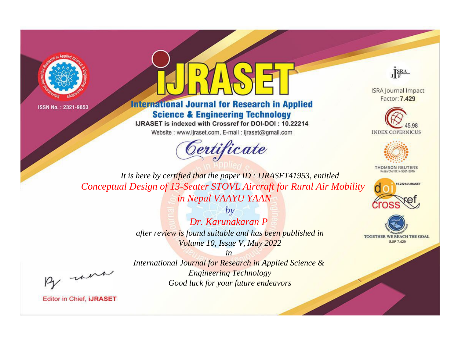



# **International Journal for Research in Applied Science & Engineering Technology**

IJRASET is indexed with Crossref for DOI-DOI: 10.22214

Website: www.ijraset.com, E-mail: ijraset@gmail.com



JERA

**ISRA Journal Impact** Factor: 7.429





**THOMSON REUTERS** 



TOGETHER WE REACH THE GOAL **SJIF 7.429** 

It is here by certified that the paper ID: IJRASET41953, entitled Conceptual Design of 13-Seater STOVL Aircraft for Rural Air Mobility in Nepal VAAYU YAAN

> $b\nu$ Dr. Karungkaran P after review is found suitable and has been published in Volume 10, Issue V, May 2022

were

International Journal for Research in Applied Science & **Engineering Technology** Good luck for your future endeavors

 $in$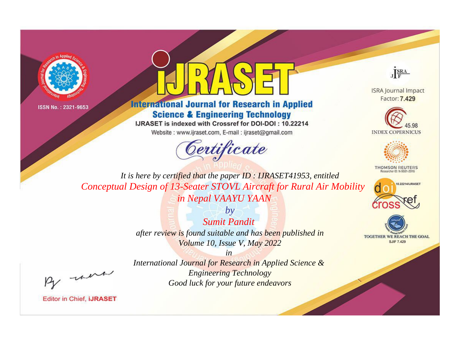



# **International Journal for Research in Applied Science & Engineering Technology**

IJRASET is indexed with Crossref for DOI-DOI: 10.22214

Website: www.ijraset.com, E-mail: ijraset@gmail.com



JERA

**ISRA Journal Impact** Factor: 7.429





**THOMSON REUTERS** 



TOGETHER WE REACH THE GOAL **SJIF 7.429** 

It is here by certified that the paper ID: IJRASET41953, entitled Conceptual Design of 13-Seater STOVL Aircraft for Rural Air Mobility in Nepal VAAYU YAAN

> $b\nu$ **Sumit Pandit** after review is found suitable and has been published in Volume 10, Issue V, May 2022

> > $in$

were

International Journal for Research in Applied Science & **Engineering Technology** Good luck for your future endeavors